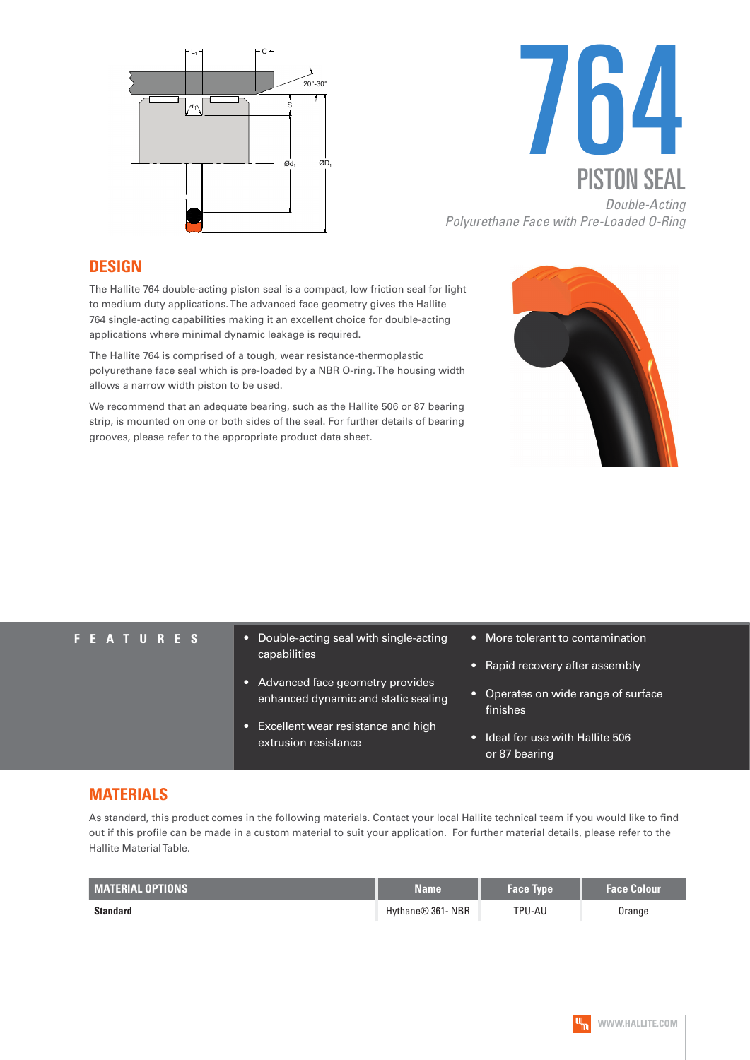



*Polyurethane Face with Pre-Loaded O-Ring*

#### **DESIGN**

The Hallite 764 double-acting piston seal is a compact, low friction seal for light to medium duty applications. The advanced face geometry gives the Hallite 764 single-acting capabilities making it an excellent choice for double-acting applications where minimal dynamic leakage is required.

The Hallite 764 is comprised of a tough, wear resistance-thermoplastic polyurethane face seal which is pre-loaded by a NBR O-ring. The housing width allows a narrow width piston to be used.

We recommend that an adequate bearing, such as the Hallite 506 or 87 bearing strip, is mounted on one or both sides of the seal. For further details of bearing grooves, please refer to the appropriate product data sheet.



- **FEATURES** Double-acting seal with single-acting capabilities
	- Advanced face geometry provides enhanced dynamic and static sealing
	- Excellent wear resistance and high extrusion resistance
- More tolerant to contamination
- Rapid recovery after assembly
- Operates on wide range of surface finishes
- Ideal for use with Hallite 506 or 87 bearing

### **MATERIALS**

As standard, this product comes in the following materials. Contact your local Hallite technical team if you would like to find out if this profile can be made in a custom material to suit your application. For further material details, please refer to the Hallite Material Table.

| <b>MATERIAL OPTIONS</b> | <b>Name</b>                   | <b>Face Type</b> | <b>Face Colour</b> |
|-------------------------|-------------------------------|------------------|--------------------|
| <b>Standard</b>         | Hythane <sup>®</sup> 361- NBR | TPU-AU           | Orange             |

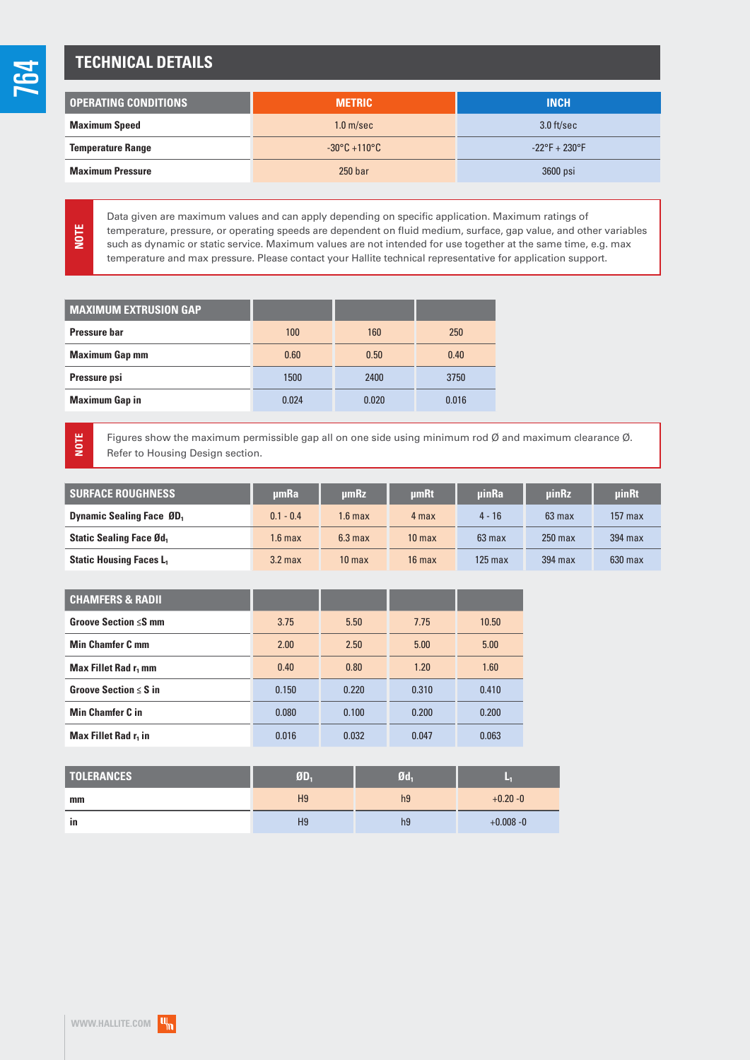**NOTE**

**NOTE**

## **TECHNICAL DETAILS**

| <b>OPERATING CONDITIONS</b> | <b>METRIC</b>                     | <b>INCH</b>                   |  |
|-----------------------------|-----------------------------------|-------------------------------|--|
| <b>Maximum Speed</b>        | 1.0 <sub>m/sec</sub>              | $3.0$ ft/sec                  |  |
| <b>Temperature Range</b>    | $-30^{\circ}$ C +110 $^{\circ}$ C | $-22^{\circ}F + 230^{\circ}F$ |  |
| <b>Maximum Pressure</b>     | 250 <sub>bar</sub>                | 3600 psi                      |  |

Data given are maximum values and can apply depending on specific application. Maximum ratings of temperature, pressure, or operating speeds are dependent on fluid medium, surface, gap value, and other variables such as dynamic or static service. Maximum values are not intended for use together at the same time, e.g. max temperature and max pressure. Please contact your Hallite technical representative for application support.

| <b>MAXIMUM EXTRUSION GAP</b> |       |       |       |
|------------------------------|-------|-------|-------|
| Pressure har                 | 100   | 160   | 250   |
| <b>Maximum Gap mm</b>        | 0.60  | 0.50  | 0.40  |
| Pressure psi                 | 1500  | 2400  | 3750  |
| <b>Maximum Gap in</b>        | 0.024 | 0.020 | 0.016 |

Figures show the maximum permissible gap all on one side using minimum rod Ø and maximum clearance Ø. Refer to Housing Design section.

| <b>SURFACE ROUGHNESS</b>         | umRa               | umRz              | <b>umRt</b>       | <b>uinRa</b>     | <b>uinRz</b> | uinRt     |
|----------------------------------|--------------------|-------------------|-------------------|------------------|--------------|-----------|
| <b>Dynamic Sealing Face ØD</b> , | $0.1 - 0.4$        | I.6 max           | 4 max             | $4 - 16$         | $63$ max     | $157$ max |
| <b>Static Sealing Face Ød,</b>   | 1.6 <sub>max</sub> | $6.3 \text{ max}$ | 10 <sub>max</sub> | $63 \text{ max}$ | $250$ max    | 394 max   |
| <b>Static Housing Faces L.</b>   | 3.2 <sub>max</sub> | 10 <sub>max</sub> | $16$ max          | 125 max          | 394 max      | $630$ max |

| <b>CHAMFERS &amp; RADII</b>                  |       |       |       |       |
|----------------------------------------------|-------|-------|-------|-------|
| Groove Section ≤S mm                         | 3.75  | 5.50  | 7.75  | 10.50 |
| <b>Min Chamfer C mm</b>                      | 2.00  | 2.50  | 5.00  | 5.00  |
| Max Fillet Rad r <sub>1</sub> mm             | 0.40  | 0.80  | 1.20  | 1.60  |
| <b>Groove Section <math>\leq</math> S in</b> | 0.150 | 0.220 | 0.310 | 0.410 |
| <b>Min Chamfer C in</b>                      | 0.080 | 0.100 | 0.200 | 0.200 |
| Max Fillet Rad r <sub>1</sub> in             | 0.016 | 0.032 | 0.047 | 0.063 |

| <b>TOLERANCES</b> | ØD,            | Ød <sub>1</sub> |              |
|-------------------|----------------|-----------------|--------------|
| mm                | H <sub>9</sub> | h <sub>9</sub>  | $+0.20 - 0$  |
| in                | H <sub>9</sub> | h <sub>9</sub>  | $+0.008 - 0$ |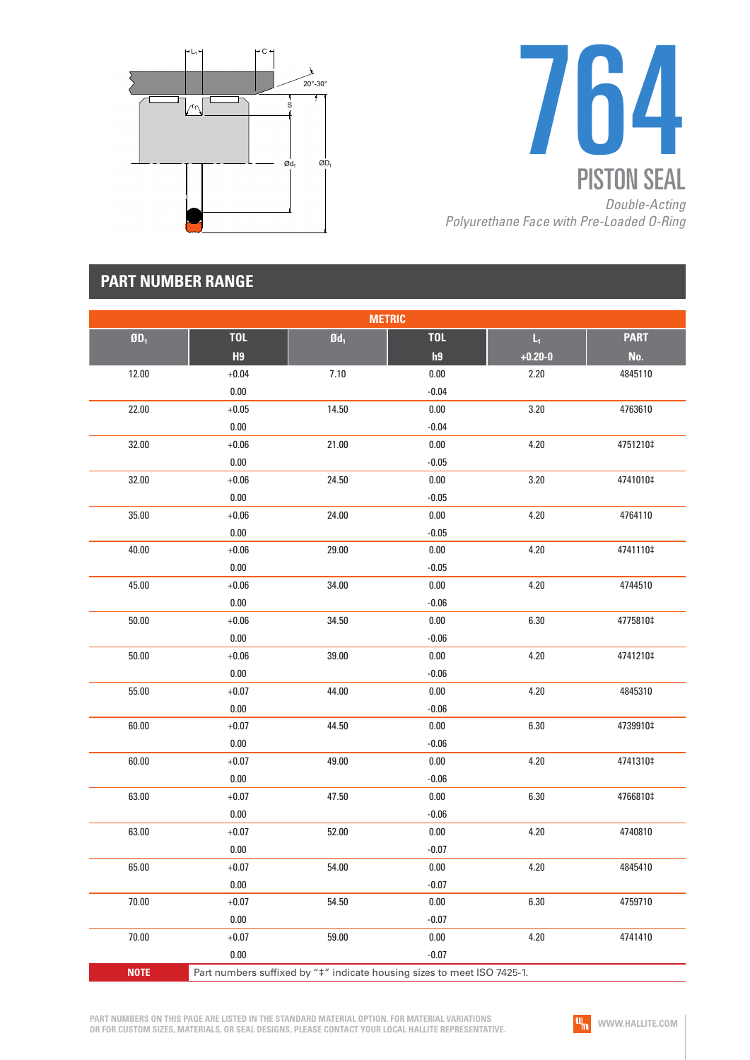



## **PART NUMBER RANGE**

| <b>METRIC</b> |                |                   |                                                                         |                         |             |  |
|---------------|----------------|-------------------|-------------------------------------------------------------------------|-------------------------|-------------|--|
| $ØD_1$        | <b>TOL</b>     | $\mathfrak{gd}_1$ | <b>TOL</b>                                                              | $\mathsf{L}_\mathrm{f}$ | <b>PART</b> |  |
|               | H <sub>9</sub> |                   | h9                                                                      | $+0.20 - 0$             | No.         |  |
| 12.00         | $+0.04$        | 7.10              | $0.00\,$                                                                | 2.20                    | 4845110     |  |
|               | 0.00           |                   | $-0.04$                                                                 |                         |             |  |
| 22.00         | $+0.05$        | 14.50             | $0.00\,$                                                                | 3.20                    | 4763610     |  |
|               | $0.00\,$       |                   | $-0.04$                                                                 |                         |             |  |
| 32.00         | $+0.06$        | 21.00             | $0.00\,$                                                                | 4.20                    | 4751210‡    |  |
|               | $0.00\,$       |                   | $-0.05$                                                                 |                         |             |  |
| 32.00         | $+0.06$        | 24.50             | 0.00                                                                    | 3.20                    | 4741010‡    |  |
|               | $0.00\,$       |                   | $-0.05$                                                                 |                         |             |  |
| 35.00         | $+0.06$        | 24.00             | $0.00\,$                                                                | 4.20                    | 4764110     |  |
|               | $0.00\,$       |                   | $-0.05$                                                                 |                         |             |  |
| 40.00         | $+0.06$        | 29.00             | $0.00\,$                                                                | 4.20                    | 4741110‡    |  |
|               | $0.00\,$       |                   | $-0.05$                                                                 |                         |             |  |
| 45.00         | $+0.06$        | 34.00             | 0.00                                                                    | 4.20                    | 4744510     |  |
|               | $0.00\,$       |                   | $-0.06$                                                                 |                         |             |  |
| 50.00         | $+0.06$        | 34.50             | $0.00\,$                                                                | 6.30                    | 4775810‡    |  |
|               | $0.00\,$       |                   | $-0.06$                                                                 |                         |             |  |
| 50.00         | $+0.06$        | 39.00             | $0.00\,$                                                                | 4.20                    | 4741210‡    |  |
|               | $0.00\,$       |                   | $-0.06$                                                                 |                         |             |  |
| 55.00         | $+0.07$        | 44.00             | $0.00\,$                                                                | 4.20                    | 4845310     |  |
|               | $0.00\,$       |                   | $-0.06$                                                                 |                         |             |  |
| 60.00         | $+0.07$        | 44.50             | $0.00\,$                                                                | 6.30                    | 4739910‡    |  |
|               | $0.00\,$       |                   | $-0.06$                                                                 |                         |             |  |
| 60.00         | $+0.07$        | 49.00             | $0.00\,$                                                                | 4.20                    | 4741310‡    |  |
|               | $0.00\,$       |                   | $-0.06$                                                                 |                         |             |  |
| 63.00         | $+0.07$        | 47.50             | 0.00                                                                    | 6.30                    | 4766810‡    |  |
|               | $0.00\,$       |                   | $-0.06$                                                                 |                         |             |  |
| 63.00         | $+0.07$        | 52.00             | 0.00                                                                    | 4.20                    | 4740810     |  |
|               | $0.00\,$       |                   | $-0.07$                                                                 |                         |             |  |
| 65.00         | $+0.07$        | 54.00             | $0.00\,$                                                                | 4.20                    | 4845410     |  |
|               | 0.00           |                   | $-0.07$                                                                 |                         |             |  |
| 70.00         | $+0.07$        | 54.50             | 0.00                                                                    | 6.30                    | 4759710     |  |
|               | 0.00           |                   | $-0.07$                                                                 |                         |             |  |
| 70.00         | $+0.07$        | 59.00             | 0.00                                                                    | 4.20                    | 4741410     |  |
|               | 0.00           |                   | $-0.07$                                                                 |                         |             |  |
| <b>NOTE</b>   |                |                   | Part numbers suffixed by "#" indicate housing sizes to meet ISO 7425-1. |                         |             |  |

**PART NUMBERS ON THIS PAGE ARE LISTED IN THE STANDARD MATERIAL OPTION. FOR MATERIAL VARIATIONS OR FOR CUSTOM SIZES, MATERIALS, OR SEAL DESIGNS, PLEASE CONTACT YOUR LOCAL HALLITE REPRESENTATIVE.**